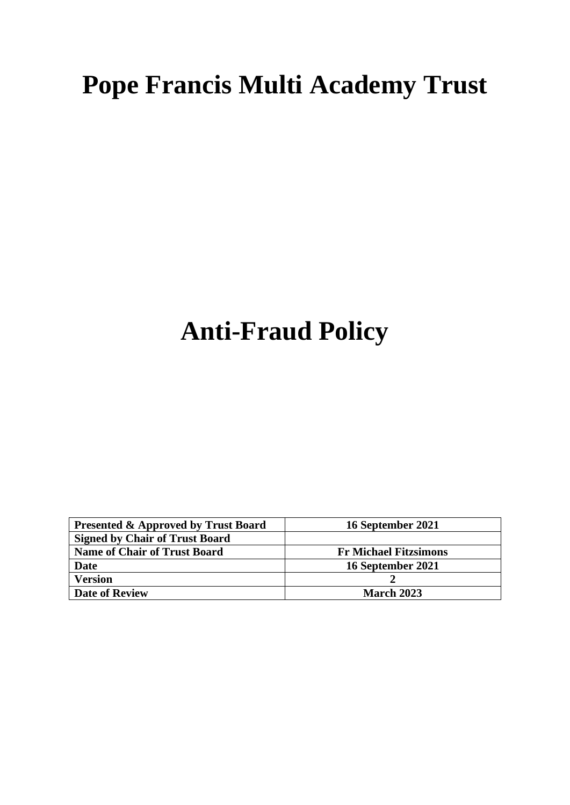# **Pope Francis Multi Academy Trust**

## **Anti-Fraud Policy**

| <b>Presented &amp; Approved by Trust Board</b> | 16 September 2021            |
|------------------------------------------------|------------------------------|
| <b>Signed by Chair of Trust Board</b>          |                              |
| <b>Name of Chair of Trust Board</b>            | <b>Fr Michael Fitzsimons</b> |
| Date                                           | 16 September 2021            |
| <b>Version</b>                                 |                              |
| <b>Date of Review</b>                          | <b>March 2023</b>            |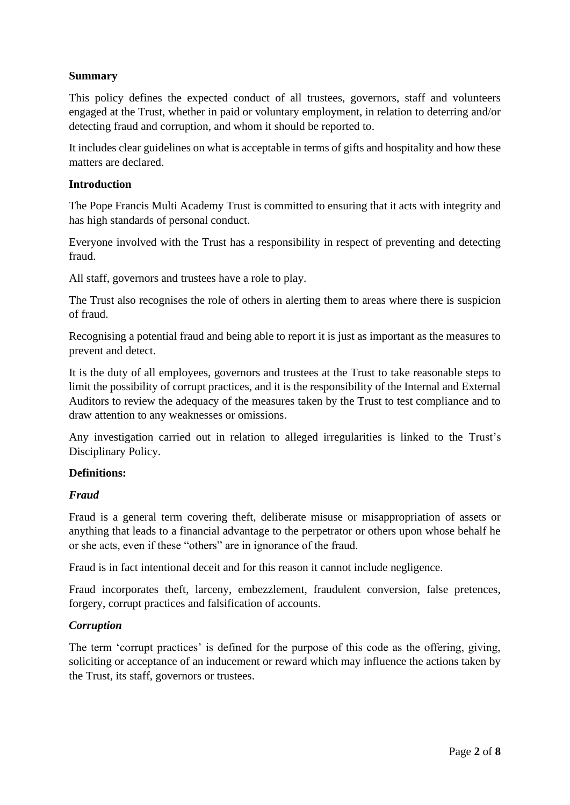## **Summary**

This policy defines the expected conduct of all trustees, governors, staff and volunteers engaged at the Trust, whether in paid or voluntary employment, in relation to deterring and/or detecting fraud and corruption, and whom it should be reported to.

It includes clear guidelines on what is acceptable in terms of gifts and hospitality and how these matters are declared.

#### **Introduction**

The Pope Francis Multi Academy Trust is committed to ensuring that it acts with integrity and has high standards of personal conduct.

Everyone involved with the Trust has a responsibility in respect of preventing and detecting fraud.

All staff, governors and trustees have a role to play.

The Trust also recognises the role of others in alerting them to areas where there is suspicion of fraud.

Recognising a potential fraud and being able to report it is just as important as the measures to prevent and detect.

It is the duty of all employees, governors and trustees at the Trust to take reasonable steps to limit the possibility of corrupt practices, and it is the responsibility of the Internal and External Auditors to review the adequacy of the measures taken by the Trust to test compliance and to draw attention to any weaknesses or omissions.

Any investigation carried out in relation to alleged irregularities is linked to the Trust's Disciplinary Policy.

## **Definitions:**

## *Fraud*

Fraud is a general term covering theft, deliberate misuse or misappropriation of assets or anything that leads to a financial advantage to the perpetrator or others upon whose behalf he or she acts, even if these "others" are in ignorance of the fraud.

Fraud is in fact intentional deceit and for this reason it cannot include negligence.

Fraud incorporates theft, larceny, embezzlement, fraudulent conversion, false pretences, forgery, corrupt practices and falsification of accounts.

## *Corruption*

The term 'corrupt practices' is defined for the purpose of this code as the offering, giving, soliciting or acceptance of an inducement or reward which may influence the actions taken by the Trust, its staff, governors or trustees.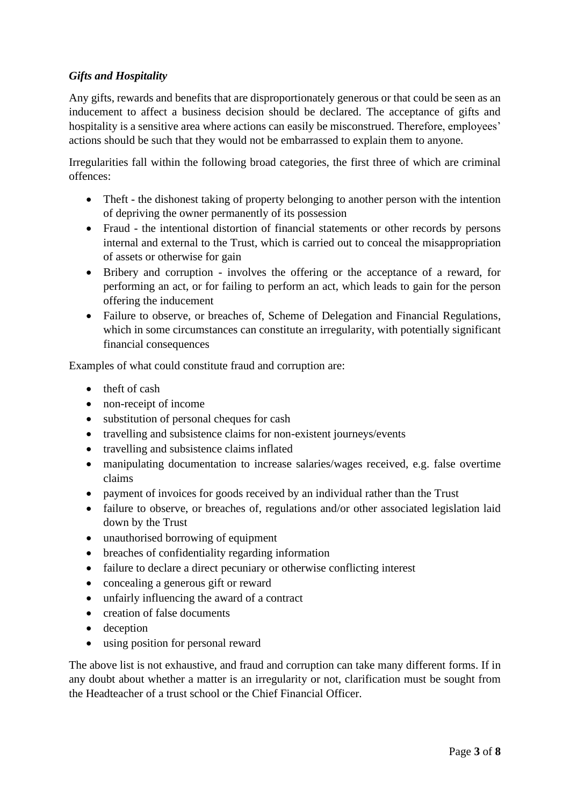## *Gifts and Hospitality*

Any gifts, rewards and benefits that are disproportionately generous or that could be seen as an inducement to affect a business decision should be declared. The acceptance of gifts and hospitality is a sensitive area where actions can easily be misconstrued. Therefore, employees' actions should be such that they would not be embarrassed to explain them to anyone.

Irregularities fall within the following broad categories, the first three of which are criminal offences:

- Theft the dishonest taking of property belonging to another person with the intention of depriving the owner permanently of its possession
- Fraud the intentional distortion of financial statements or other records by persons internal and external to the Trust, which is carried out to conceal the misappropriation of assets or otherwise for gain
- Bribery and corruption involves the offering or the acceptance of a reward, for performing an act, or for failing to perform an act, which leads to gain for the person offering the inducement
- Failure to observe, or breaches of, Scheme of Delegation and Financial Regulations, which in some circumstances can constitute an irregularity, with potentially significant financial consequences

Examples of what could constitute fraud and corruption are:

- theft of cash
- non-receipt of income
- substitution of personal cheques for cash
- travelling and subsistence claims for non-existent journeys/events
- travelling and subsistence claims inflated
- manipulating documentation to increase salaries/wages received, e.g. false overtime claims
- payment of invoices for goods received by an individual rather than the Trust
- failure to observe, or breaches of, regulations and/or other associated legislation laid down by the Trust
- unauthorised borrowing of equipment
- breaches of confidentiality regarding information
- failure to declare a direct pecuniary or otherwise conflicting interest
- concealing a generous gift or reward
- unfairly influencing the award of a contract
- creation of false documents
- deception
- using position for personal reward

The above list is not exhaustive, and fraud and corruption can take many different forms. If in any doubt about whether a matter is an irregularity or not, clarification must be sought from the Headteacher of a trust school or the Chief Financial Officer.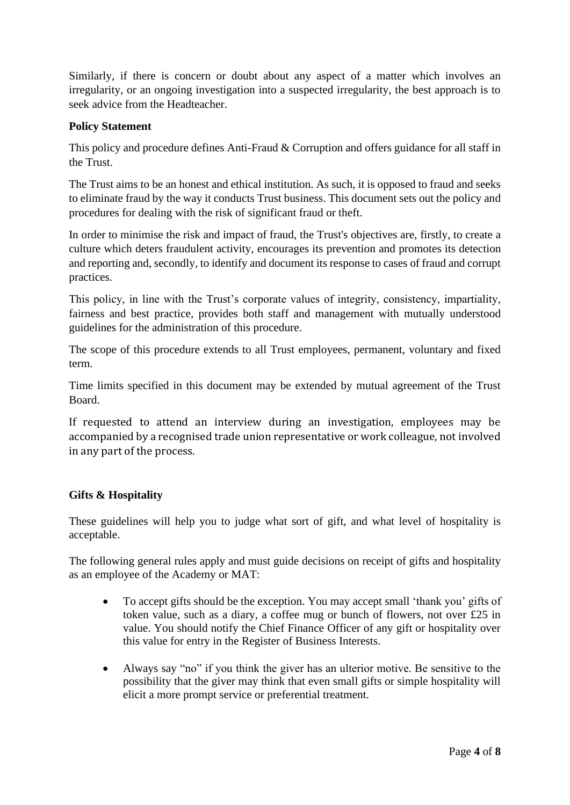Similarly, if there is concern or doubt about any aspect of a matter which involves an irregularity, or an ongoing investigation into a suspected irregularity, the best approach is to seek advice from the Headteacher.

### **Policy Statement**

This policy and procedure defines Anti-Fraud & Corruption and offers guidance for all staff in the Trust.

The Trust aims to be an honest and ethical institution. As such, it is opposed to fraud and seeks to eliminate fraud by the way it conducts Trust business. This document sets out the policy and procedures for dealing with the risk of significant fraud or theft.

In order to minimise the risk and impact of fraud, the Trust's objectives are, firstly, to create a culture which deters fraudulent activity, encourages its prevention and promotes its detection and reporting and, secondly, to identify and document its response to cases of fraud and corrupt practices.

This policy, in line with the Trust's corporate values of integrity, consistency, impartiality, fairness and best practice, provides both staff and management with mutually understood guidelines for the administration of this procedure.

The scope of this procedure extends to all Trust employees, permanent, voluntary and fixed term.

Time limits specified in this document may be extended by mutual agreement of the Trust Board.

If requested to attend an interview during an investigation, employees may be accompanied by a recognised trade union representative or work colleague, not involved in any part of the process.

#### **Gifts & Hospitality**

These guidelines will help you to judge what sort of gift, and what level of hospitality is acceptable.

The following general rules apply and must guide decisions on receipt of gifts and hospitality as an employee of the Academy or MAT:

- To accept gifts should be the exception. You may accept small 'thank you' gifts of token value, such as a diary, a coffee mug or bunch of flowers, not over £25 in value. You should notify the Chief Finance Officer of any gift or hospitality over this value for entry in the Register of Business Interests.
- Always say "no" if you think the giver has an ulterior motive. Be sensitive to the possibility that the giver may think that even small gifts or simple hospitality will elicit a more prompt service or preferential treatment.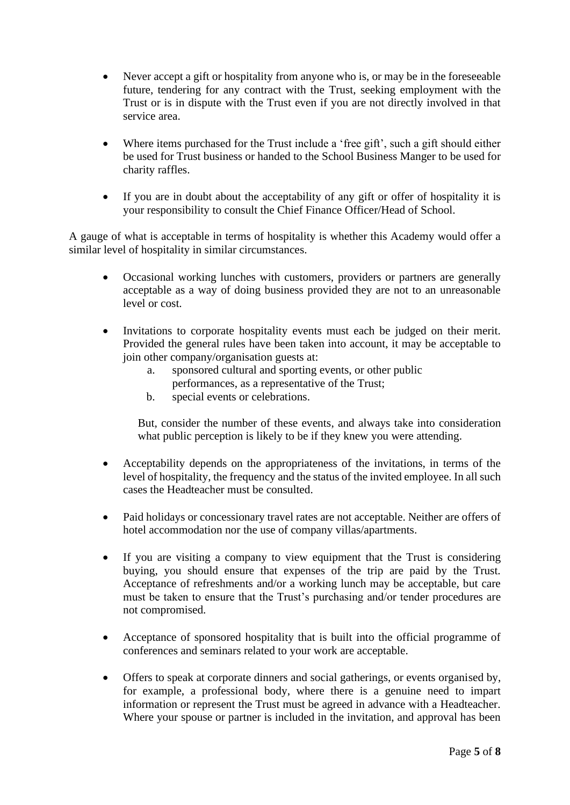- Never accept a gift or hospitality from anyone who is, or may be in the foreseeable future, tendering for any contract with the Trust, seeking employment with the Trust or is in dispute with the Trust even if you are not directly involved in that service area.
- Where items purchased for the Trust include a 'free gift', such a gift should either be used for Trust business or handed to the School Business Manger to be used for charity raffles.
- If you are in doubt about the acceptability of any gift or offer of hospitality it is your responsibility to consult the Chief Finance Officer/Head of School.

A gauge of what is acceptable in terms of hospitality is whether this Academy would offer a similar level of hospitality in similar circumstances.

- Occasional working lunches with customers, providers or partners are generally acceptable as a way of doing business provided they are not to an unreasonable level or cost.
- Invitations to corporate hospitality events must each be judged on their merit. Provided the general rules have been taken into account, it may be acceptable to join other company/organisation guests at:
	- a. sponsored cultural and sporting events, or other public performances, as a representative of the Trust;
	- b. special events or celebrations.

But, consider the number of these events, and always take into consideration what public perception is likely to be if they knew you were attending.

- Acceptability depends on the appropriateness of the invitations, in terms of the level of hospitality, the frequency and the status of the invited employee. In all such cases the Headteacher must be consulted.
- Paid holidays or concessionary travel rates are not acceptable. Neither are offers of hotel accommodation nor the use of company villas/apartments.
- If you are visiting a company to view equipment that the Trust is considering buying, you should ensure that expenses of the trip are paid by the Trust. Acceptance of refreshments and/or a working lunch may be acceptable, but care must be taken to ensure that the Trust's purchasing and/or tender procedures are not compromised.
- Acceptance of sponsored hospitality that is built into the official programme of conferences and seminars related to your work are acceptable.
- Offers to speak at corporate dinners and social gatherings, or events organised by, for example, a professional body, where there is a genuine need to impart information or represent the Trust must be agreed in advance with a Headteacher. Where your spouse or partner is included in the invitation, and approval has been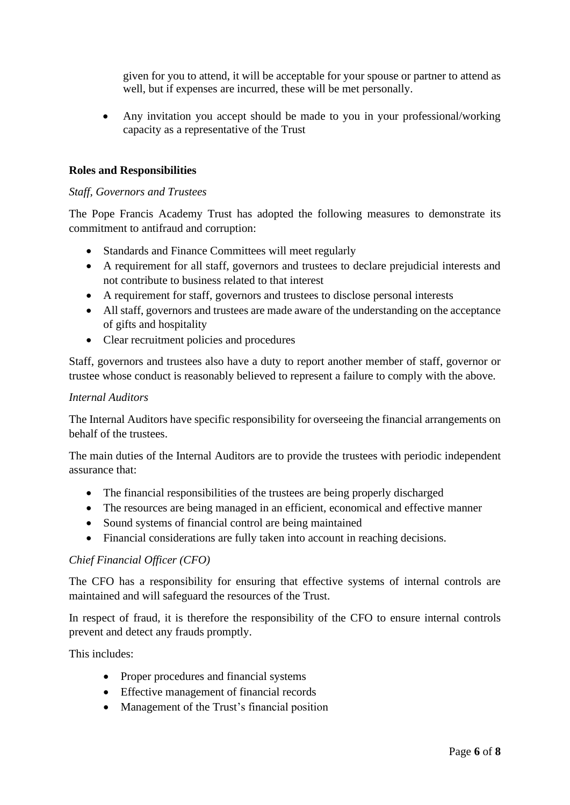given for you to attend, it will be acceptable for your spouse or partner to attend as well, but if expenses are incurred, these will be met personally.

• Any invitation you accept should be made to you in your professional/working capacity as a representative of the Trust

#### **Roles and Responsibilities**

#### *Staff, Governors and Trustees*

The Pope Francis Academy Trust has adopted the following measures to demonstrate its commitment to antifraud and corruption:

- Standards and Finance Committees will meet regularly
- A requirement for all staff, governors and trustees to declare prejudicial interests and not contribute to business related to that interest
- A requirement for staff, governors and trustees to disclose personal interests
- All staff, governors and trustees are made aware of the understanding on the acceptance of gifts and hospitality
- Clear recruitment policies and procedures

Staff, governors and trustees also have a duty to report another member of staff, governor or trustee whose conduct is reasonably believed to represent a failure to comply with the above.

#### *Internal Auditors*

The Internal Auditors have specific responsibility for overseeing the financial arrangements on behalf of the trustees.

The main duties of the Internal Auditors are to provide the trustees with periodic independent assurance that:

- The financial responsibilities of the trustees are being properly discharged
- The resources are being managed in an efficient, economical and effective manner
- Sound systems of financial control are being maintained
- Financial considerations are fully taken into account in reaching decisions.

#### *Chief Financial Officer (CFO)*

The CFO has a responsibility for ensuring that effective systems of internal controls are maintained and will safeguard the resources of the Trust.

In respect of fraud, it is therefore the responsibility of the CFO to ensure internal controls prevent and detect any frauds promptly.

This includes:

- Proper procedures and financial systems
- Effective management of financial records
- Management of the Trust's financial position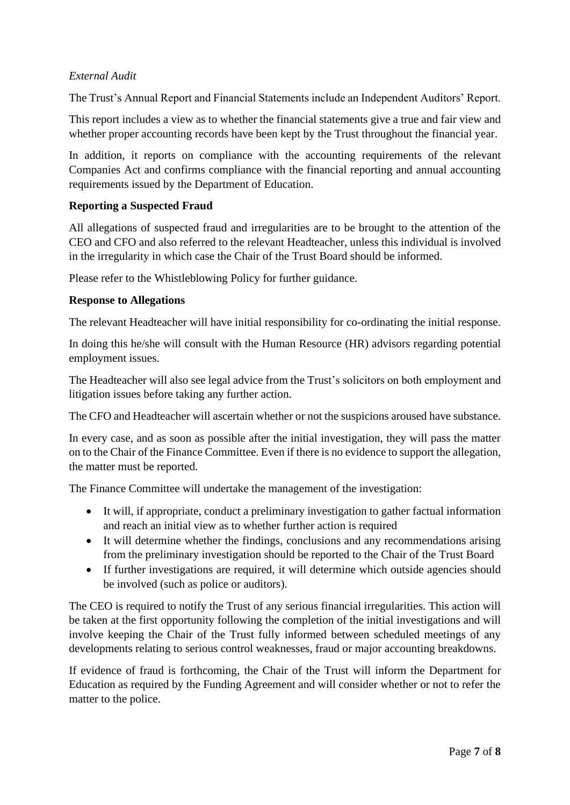## *External Audit*

The Trust's Annual Report and Financial Statements include an Independent Auditors' Report.

This report includes a view as to whether the financial statements give a true and fair view and whether proper accounting records have been kept by the Trust throughout the financial year.

In addition, it reports on compliance with the accounting requirements of the relevant Companies Act and confirms compliance with the financial reporting and annual accounting requirements issued by the Department of Education.

#### **Reporting a Suspected Fraud**

All allegations of suspected fraud and irregularities are to be brought to the attention of the CEO and CFO and also referred to the relevant Headteacher, unless this individual is involved in the irregularity in which case the Chair of the Trust Board should be informed.

Please refer to the Whistleblowing Policy for further guidance.

#### **Response to Allegations**

The relevant Headteacher will have initial responsibility for co-ordinating the initial response.

In doing this he/she will consult with the Human Resource (HR) advisors regarding potential employment issues.

The Headteacher will also see legal advice from the Trust's solicitors on both employment and litigation issues before taking any further action.

The CFO and Headteacher will ascertain whether or not the suspicions aroused have substance.

In every case, and as soon as possible after the initial investigation, they will pass the matter on to the Chair of the Finance Committee. Even if there is no evidence to support the allegation, the matter must be reported.

The Finance Committee will undertake the management of the investigation:

- It will, if appropriate, conduct a preliminary investigation to gather factual information and reach an initial view as to whether further action is required
- It will determine whether the findings, conclusions and any recommendations arising from the preliminary investigation should be reported to the Chair of the Trust Board
- If further investigations are required, it will determine which outside agencies should be involved (such as police or auditors).

The CEO is required to notify the Trust of any serious financial irregularities. This action will be taken at the first opportunity following the completion of the initial investigations and will involve keeping the Chair of the Trust fully informed between scheduled meetings of any developments relating to serious control weaknesses, fraud or major accounting breakdowns.

If evidence of fraud is forthcoming, the Chair of the Trust will inform the Department for Education as required by the Funding Agreement and will consider whether or not to refer the matter to the police.